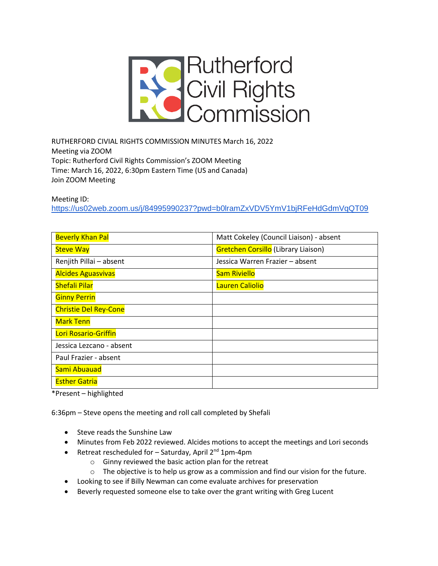

RUTHERFORD CIVIAL RIGHTS COMMISSION MINUTES March 16, 2022 Meeting via ZOOM Topic: Rutherford Civil Rights Commission's ZOOM Meeting Time: March 16, 2022, 6:30pm Eastern Time (US and Canada) Join ZOOM Meeting

Meeting ID:

<https://us02web.zoom.us/j/84995990237?pwd=b0lramZxVDV5YmV1bjRFeHdGdmVqQT09>

| <b>Beverly Khan Pal</b>      | Matt Cokeley (Council Liaison) - absent |
|------------------------------|-----------------------------------------|
| <b>Steve Way</b>             | Gretchen Corsillo (Library Liaison)     |
| Renjith Pillai - absent      | Jessica Warren Frazier - absent         |
| <b>Alcides Aguasvivas</b>    | <b>Sam Riviello</b>                     |
| <b>Shefali Pilar</b>         | Lauren Caliolio                         |
| <b>Ginny Perrin</b>          |                                         |
| <b>Christie Del Rey-Cone</b> |                                         |
| <b>Mark Tenn</b>             |                                         |
| Lori Rosario-Griffin         |                                         |
| Jessica Lezcano - absent     |                                         |
| Paul Frazier - absent        |                                         |
| Sami Abuauad                 |                                         |
| <b>Esther Gatria</b>         |                                         |

\*Present – highlighted

6:36pm – Steve opens the meeting and roll call completed by Shefali

- Steve reads the Sunshine Law
- Minutes from Feb 2022 reviewed. Alcides motions to accept the meetings and Lori seconds
- Retreat rescheduled for  $-$  Saturday, April 2<sup>nd</sup> 1pm-4pm
	- o Ginny reviewed the basic action plan for the retreat
	- o The objective is to help us grow as a commission and find our vision for the future.
- Looking to see if Billy Newman can come evaluate archives for preservation
- Beverly requested someone else to take over the grant writing with Greg Lucent